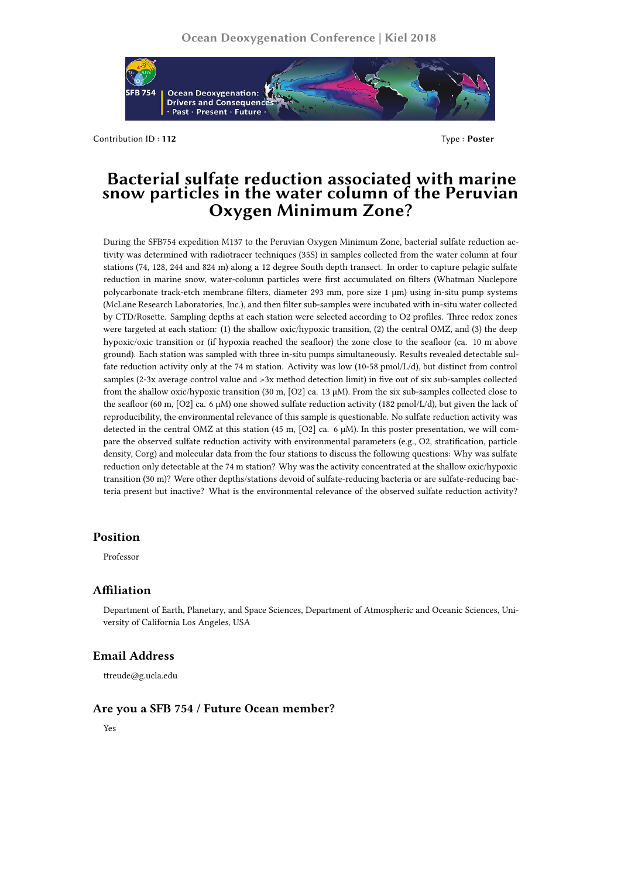

Contribution ID : **112** Type : **Poster** 

# **Bacterial sulfate reduction associated with marine snow particles in the water column of the Peruvian Oxygen Minimum Zone?**

During the SFB754 expedition M137 to the Peruvian Oxygen Minimum Zone, bacterial sulfate reduction activity was determined with radiotracer techniques (35S) in samples collected from the water column at four stations (74, 128, 244 and 824 m) along a 12 degree South depth transect. In order to capture pelagic sulfate reduction in marine snow, water-column particles were first accumulated on filters (Whatman Nuclepore polycarbonate track-etch membrane filters, diameter 293 mm, pore size 1 µm) using in-situ pump systems (McLane Research Laboratories, Inc.), and then filter sub-samples were incubated with in-situ water collected by CTD/Rosette. Sampling depths at each station were selected according to O2 profiles. Three redox zones were targeted at each station: (1) the shallow oxic/hypoxic transition, (2) the central OMZ, and (3) the deep hypoxic/oxic transition or (if hypoxia reached the seafloor) the zone close to the seafloor (ca. 10 m above ground). Each station was sampled with three in-situ pumps simultaneously. Results revealed detectable sulfate reduction activity only at the 74 m station. Activity was low (10-58 pmol/L/d), but distinct from control samples (2-3x average control value and >3x method detection limit) in five out of six sub-samples collected from the shallow oxic/hypoxic transition (30 m, [O2] ca. 13 µM). From the six sub-samples collected close to the seafloor (60 m, [O2] ca. 6 µM) one showed sulfate reduction activity (182 pmol/L/d), but given the lack of reproducibility, the environmental relevance of this sample is questionable. No sulfate reduction activity was detected in the central OMZ at this station (45 m,  $[O2]$  ca. 6  $\mu$ M). In this poster presentation, we will compare the observed sulfate reduction activity with environmental parameters (e.g., O2, stratification, particle density, Corg) and molecular data from the four stations to discuss the following questions: Why was sulfate reduction only detectable at the 74 m station? Why was the activity concentrated at the shallow oxic/hypoxic transition (30 m)? Were other depths/stations devoid of sulfate-reducing bacteria or are sulfate-reducing bacteria present but inactive? What is the environmental relevance of the observed sulfate reduction activity?

### **Position**

Professor

## **Affiliation**

Department of Earth, Planetary, and Space Sciences, Department of Atmospheric and Oceanic Sciences, University of California Los Angeles, USA

### **Email Address**

ttreude@g.ucla.edu

## **Are you a SFB 754 / Future Ocean member?**

Yes